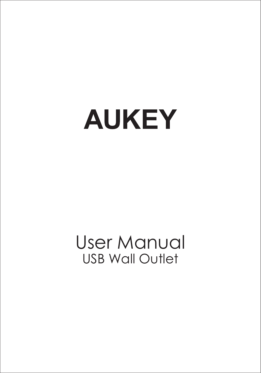# **AUKEY**

## User Manual USB Wall Outlet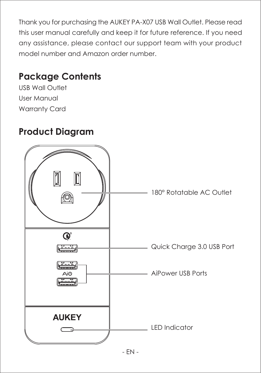Thank you for purchasing the AUKEY PA-X07 USB Wall Outlet. Please read this user manual carefully and keep it for future reference. If you need any assistance, please contact our support team with your product model number and Amazon order number.

## **Package Contents**

USB Wall Outlet User Manual Warranty Card

## **Product Diagram**

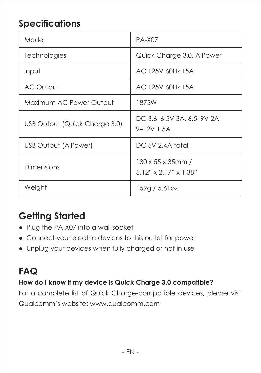## **Specifications**

| Model                         | <b>PA-X07</b>                                |
|-------------------------------|----------------------------------------------|
| Technologies                  | Quick Charge 3.0, AiPower                    |
| Input                         | AC 125V 60Hz 15A                             |
| AC Output                     | AC 125V 60Hz 15A                             |
| Maximum AC Power Output       | 187.5W                                       |
| USB Output (Quick Charge 3.0) | DC 3.6-6.5V 3A, 6.5-9V 2A,<br>9-12V 1.5A     |
| <b>USB Output (AiPower)</b>   | DC 5V 2.4A total                             |
| Dimensions                    | 130 x 55 x 35mm /<br>$5.12"$ x 2.17" x 1.38" |
| Weight                        | 159g / 5.61oz                                |

## **Getting Started**

- Plug the PA-X07 into a wall socket
- Connect your electric devices to this outlet for power
- Unplug your devices when fully charged or not in use

## **FAQ**

#### **How do I know if my device is Quick Charge 3.0 compatible?**

For a complete list of Quick Charge-compatible devices, please visit Qualcomm's website: www.qualcomm.com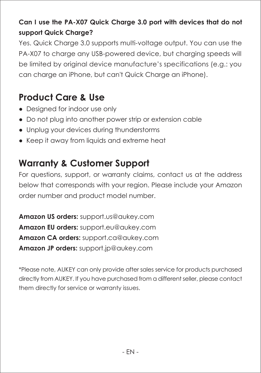### **Can I use the PA-X07 Quick Charge 3.0 port with devices that do not support Quick Charge?**

Yes. Quick Charge 3.0 supports multi-voltage output. You can use the PA-X07 to charge any USB-powered device, but charging speeds will be limited by original device manufacture's specifications (e.g.: you can charge an iPhone, but can't Quick Charge an iPhone).

## **Product Care & Use**

- Designed for indoor use only
- Do not plug into another power strip or extension cable
- Unplug your devices during thunderstorms
- Keep it away from liquids and extreme heat

## **Warranty & Customer Support**

For questions, support, or warranty claims, contact us at the address below that corresponds with your region. Please include your Amazon order number and product model number.

**Amazon US orders:** support.us@aukey.com **Amazon EU orders:** support.eu@aukey.com **Amazon CA orders:** support.ca@aukey.com **Amazon JP orders:** support.jp@aukey.com

\*Please note, AUKEY can only provide after sales service for products purchased directly from AUKEY. If you have purchased from a different seller, please contact them directly for service or warranty issues.